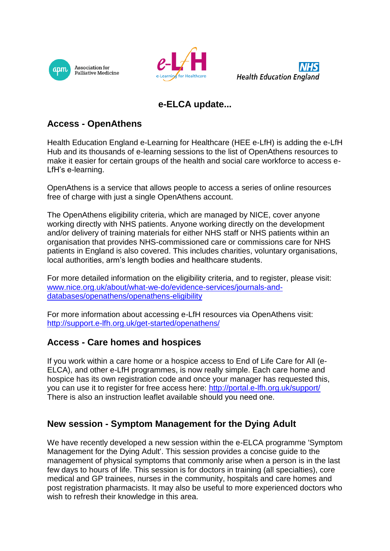





# **e-ELCA update...**

### **Access - OpenAthens**

Health Education England e-Learning for Healthcare (HEE e-LfH) is adding the e-LfH Hub and its thousands of e-learning sessions to the list of OpenAthens resources to make it easier for certain groups of the health and social care workforce to access e-LfH's e-learning.

OpenAthens is a service that allows people to access a series of online resources free of charge with just a single OpenAthens account.

The OpenAthens eligibility criteria, which are managed by NICE, cover anyone working directly with NHS patients. Anyone working directly on the development and/or delivery of training materials for either NHS staff or NHS patients within an organisation that provides NHS-commissioned care or commissions care for NHS patients in England is also covered. This includes charities, voluntary organisations, local authorities, arm's length bodies and healthcare students.

For more detailed information on the eligibility criteria, and to register, please visit: [www.nice.org.uk/about/what-we-do/evidence-services/journals-and](http://www.nice.org.uk/about/what-we-do/evidence-services/journals-and-databases/openathens/openathens-eligibility)[databases/openathens/openathens-eligibility](http://www.nice.org.uk/about/what-we-do/evidence-services/journals-and-databases/openathens/openathens-eligibility)

For more information about accessing e-LfH resources via OpenAthens visit: <http://support.e-lfh.org.uk/get-started/openathens/>

#### **Access - Care homes and hospices**

If you work within a care home or a hospice access to End of Life Care for All (e-ELCA), and other e-LfH programmes, is now really simple. Each care home and hospice has its own registration code and once your manager has requested this, you can use it to register for free access here:<http://portal.e-lfh.org.uk/support/> There is also an instruction leaflet available should you need one.

## **New session - Symptom Management for the Dying Adult**

We have recently developed a new session within the e-ELCA programme 'Symptom Management for the Dying Adult'. This session provides a concise guide to the management of physical symptoms that commonly arise when a person is in the last few days to hours of life. This session is for doctors in training (all specialties), core medical and GP trainees, nurses in the community, hospitals and care homes and post registration pharmacists. It may also be useful to more experienced doctors who wish to refresh their knowledge in this area.